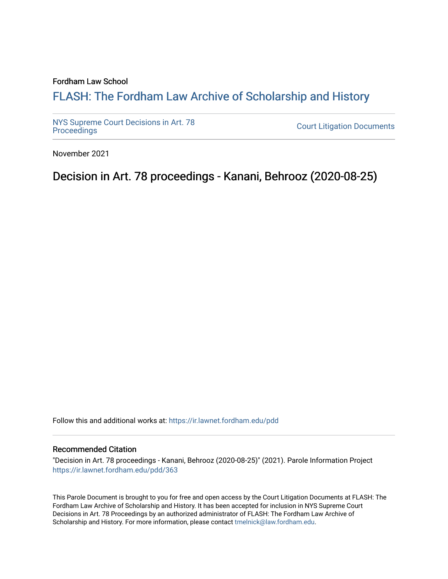### Fordham Law School

# FLASH: The For[dham Law Archive of Scholarship and Hist](https://ir.lawnet.fordham.edu/)ory

[NYS Supreme Court Decisions in Art. 78](https://ir.lawnet.fordham.edu/pdd)

**Court Litigation Documents** 

November 2021

# Decision in Art. 78 proceedings - Kanani, Behrooz (2020-08-25)

Follow this and additional works at: [https://ir.lawnet.fordham.edu/pdd](https://ir.lawnet.fordham.edu/pdd?utm_source=ir.lawnet.fordham.edu%2Fpdd%2F363&utm_medium=PDF&utm_campaign=PDFCoverPages)

#### Recommended Citation

"Decision in Art. 78 proceedings - Kanani, Behrooz (2020-08-25)" (2021). Parole Information Project [https://ir.lawnet.fordham.edu/pdd/363](https://ir.lawnet.fordham.edu/pdd/363?utm_source=ir.lawnet.fordham.edu%2Fpdd%2F363&utm_medium=PDF&utm_campaign=PDFCoverPages)

This Parole Document is brought to you for free and open access by the Court Litigation Documents at FLASH: The Fordham Law Archive of Scholarship and History. It has been accepted for inclusion in NYS Supreme Court Decisions in Art. 78 Proceedings by an authorized administrator of FLASH: The Fordham Law Archive of Scholarship and History. For more information, please contact [tmelnick@law.fordham.edu](mailto:tmelnick@law.fordham.edu).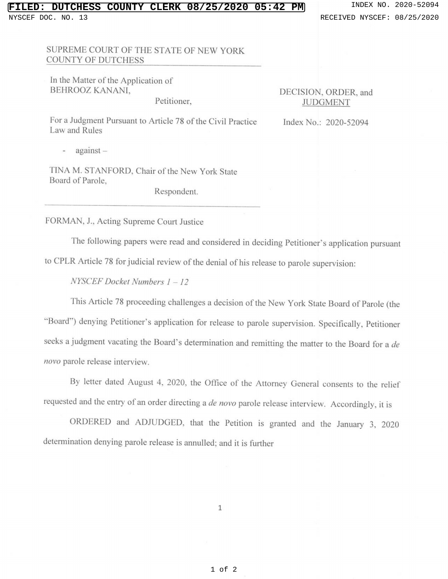### **DUTCHESS COUNTY CLERK 08/25/2020 05:42 PM** INDEX NO. 2020-52094 NYSCEF DOC. NO. 13 **RECEIVED NYSCEF: 08/25/2020**

SUPREME COURT OF THE STATE OF NEW YORK COUNTY OF DUTCHESS

In the Matter of the Application of BEHROOZ KANAN!,

Petitioner,

DECISION, ORDER, and **JUDGMENT** 

Index No.: 2020-52094

For a Judgment Pursuant to Article 78 of the Civil Practice Law and Rules

 $a$ gainst  $-$ 

TINA M. STANFORD, Chair of the New York State Board of Parole,

Respondent.

FORMAN, J., Acting Supreme Court Justice

The following papers were read and considered in deciding Petitioner's application pursuant to CPLR Article 78 for judicial review of the denial of his release to parole supervision:

*NYSCEF Docket Numbers 1* - *12* 

This Article 78 proceeding challenges a decision of the New York State Board of Parole (the "Board") denying Petitioner's application for release to parole supervision. Specifically, Petitioner seeks a judgment vacating the Board's determination and remitting the matter to the Board for a *de novo* parole release interview.

By letter dated August 4, 2020, the Office of the Attorney General consents to the relief requested and the entry of an order directing a *de novo* parole release interview. Accordingly, it is

ORDERED and ADJUDGED, that the Petition is granted and the January 3, 2020 determination denying parole release is annulled; and it is further